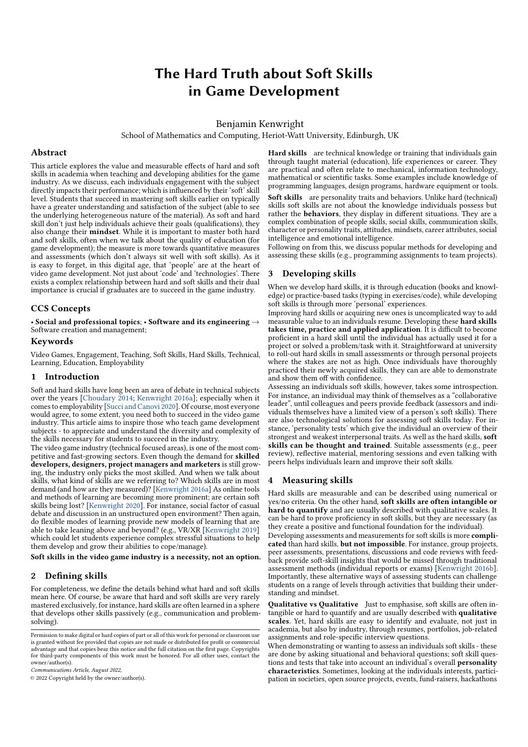# The Hard Truth about Soft Skills in Game Development

Benjamin Kenwright

School of Mathematics and Computing, Heriot-Watt University, Edinburgh, UK

## Abstract

This article explores the value and measurable effects of hard and soft skills in academia when teaching and developing abilities for the game industry. As we discuss, each individuals engagement with the subject directly impacts their performance; which is influenced by their 'soft' skill level. Students that succeed in mastering soft skills earlier on typically have a greater understanding and satisfaction of the subject (able to see the underlying heterogeneous nature of the material). As soft and hard skill don't just help individuals achieve their goals (qualifications), they also change their mindset. While it is important to master both hard and soft skills, often when we talk about the quality of education (for game development); the measure is more towards quantitative measures and assessments (which don't always sit well with soft skills). As it is easy to forget, in this digital age, that 'people' are at the heart of video game development. Not just about 'code' and 'technologies'. There exists a complex relationship between hard and soft skills and their dual importance is crucial if graduates are to succeed in the game industry.

### CCS Concepts

• Social and professional topics; • Software and its engineering  $\rightarrow$ Software creation and management;

## Keywords

Video Games, Engagement, Teaching, Soft Skills, Hard Skills, Technical, Learning, Education, Employability

#### 1 Introduction

Soft and hard skills have long been an area of debate in technical subjects over the years [Choudary 2014; Kenwright 2016a]; especially when it comes to employability [Succi and Canovi 2020]. Of course, most everyone would agree, to some extent, you need both to succeed in the video game industry. This article aims to inspire those who teach game development subjects - to appreciate and understand the diversity and complexity of the skills necessary for students to succeed in the industry.

The video game industry (technical focused areas), is one of the most competitive and fast-growing sectors. Even though the demand for skilled developers, designers, project managers and marketers is still growing, the industry only picks the most skilled. And when we talk about skills, what kind of skills are we referring to? Which skills are in most demand (and how are they measured)? [Kenwright 2016a] As online tools and methods of learning are becoming more prominent; are certain soft skills being lost? [Kenwright 2020]. For instance, social factor of casual debate and discussion in an unstructured open environment? Then again, do flexible modes of learning provide new models of learning that are able to take leaning above and beyond? (e.g., VR/XR [Kenwright 2019] which could let students experience complex stressful situations to help them develop and grow their abilities to cope/manage).

Soft skills in the video game industry is a necessity, not an option.

## 2 Defining skills

For completeness, we define the details behind what hard and soft skills mean here. Of course, be aware that hard and soft skills are very rarely mastered exclusively, for instance, hard skills are often learned in a sphere that develops other skills passively (e.g., communication and problemsolving).

Communications Article, August 2022,

© 2022 Copyright held by the owner/author(s).

Hard skills are technical knowledge or training that individuals gain through taught material (education), life experiences or career. They are practical and often relate to mechanical, information technology, mathematical or scientific tasks. Some examples include knowledge of programming languages, design programs, hardware equipment or tools.

Soft skills are personality traits and behaviors. Unlike hard (technical) skills soft skills are not about the knowledge individuals possess but rather the **behaviors**, they display in different situations. They are a complex combination of people skills, social skills, communication skills, character or personality traits, attitudes, mindsets, career attributes, social intelligence and emotional intelligence.

Following on from this, we discuss popular methods for developing and assessing these skills (e.g., programming assignments to team projects).

## 3 Developing skills

When we develop hard skills, it is through education (books and knowledge) or practice-based tasks (typing in exercises/code), while developing soft skills is through more 'personal' experiences.

Improving hard skills or acquiring new ones is uncomplicated way to add measurable value to an individuals resume. Developing these hard skills takes time, practice and applied application. It is difficult to become proficient in a hard skill until the individual has actually used it for a project or solved a problem/task with it. Straightforward at university to roll-out hard skills in small assessments or through personal projects where the stakes are not as high. Once individuals have thoroughly practiced their newly acquired skills, they can are able to demonstrate and show them off with confidence.

Assessing an individuals soft skills, however, takes some introspection. For instance, an individual may think of themselves as a "collaborative leader", until colleagues and peers provide feedback (assessors and individuals themselves have a limited view of a person's soft skills). There are also technological solutions for assessing soft skills today. For instance, 'personality tests' which give the individual an overview of their strongest and weakest interpersonal traits. As well as the hard skills, soft skills can be thought and trained. Suitable assessments (e.g., peer review), reflective material, mentoring sessions and even talking with peers helps individuals learn and improve their soft skills.

### 4 Measuring skills

Hard skills are measurable and can be described using numerical or yes/no criteria. On the other hand, soft skills are often intangible or hard to quantify and are usually described with qualitative scales. It can be hard to prove proficiency in soft skills, but they are necessary (as they create a positive and functional foundation for the individual).

Developing assessments and measurements for soft skills is more complicated than hard skills, but not impossible. For instance, group projects, peer assessments, presentations, discussions and code reviews with feedback provide soft-skill insights that would be missed through traditional assessment methods (individual reports or exams) [Kenwright 2016b]. Importantly, these alternative ways of assessing students can challenge students on a range of levels through activities that building their understanding and mindset.

Qualitative vs Qualitative Just to emphasise, soft skills are often intangible or hard to quantify and are usually described with qualitative scales. Yet, hard skills are easy to identify and evaluate, not just in academia, but also by industry, through resumes, portfolios, job-related assignments and role-specific interview questions.

When demonstrating or wanting to assess an individuals soft skills - these are done by asking situational and behavioral questions; soft skill questions and tests that take into account an individual's overall **personality** characteristics. Sometimes, looking at the individuals interests, participation in societies, open source projects, events, fund-raisers, hackathons

Permission to make digital or hard copies of part or all of this work for personal or classroom use is granted without fee provided that copies are not made or distributed for profit or commercial advantage and that copies bear this notice and the full citation on the first page. Copyrights for third-party components of this work must be honored. For all other uses, contact the owner/author(s).